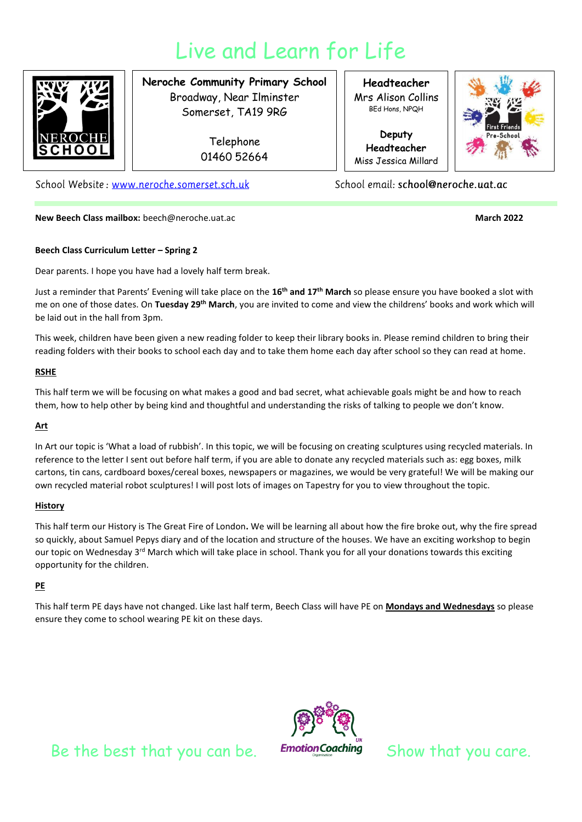# Live and Learn for Life



### **Neroche Community Primary School** Broadway, Near Ilminster Somerset, TA19 9RG

Telephone 01460 52664

School Website: www.neroche.somerset.sch.uk

**New Beech Class mailbox:** beech@neroche.uat.ac **March 2022 March 2022** 

**Headteacher** Mrs Alison Collins BEd Hons, NPQH

**Deputy Headteacher** Miss Jessica Millard

School email: school@neroche.uat.ac



#### **Beech Class Curriculum Letter – Spring 2**

Dear parents. I hope you have had a lovely half term break.

Just a reminder that Parents' Evening will take place on the **16th and 17th March** so please ensure you have booked a slot with me on one of those dates. On **Tuesday 29th March**, you are invited to come and view the childrens' books and work which will be laid out in the hall from 3pm.

This week, children have been given a new reading folder to keep their library books in. Please remind children to bring their reading folders with their books to school each day and to take them home each day after school so they can read at home.

#### **RSHE**

This half term we will be focusing on what makes a good and bad secret, what achievable goals might be and how to reach them, how to help other by being kind and thoughtful and understanding the risks of talking to people we don't know.

#### **Art**

In Art our topic is 'What a load of rubbish'. In this topic, we will be focusing on creating sculptures using recycled materials. In reference to the letter I sent out before half term, if you are able to donate any recycled materials such as: egg boxes, milk cartons, tin cans, cardboard boxes/cereal boxes, newspapers or magazines, we would be very grateful! We will be making our own recycled material robot sculptures! I will post lots of images on Tapestry for you to view throughout the topic.

#### **History**

This half term our History is The Great Fire of London**.** We will be learning all about how the fire broke out, why the fire spread so quickly, about Samuel Pepys diary and of the location and structure of the houses. We have an exciting workshop to begin our topic on Wednesday 3<sup>rd</sup> March which will take place in school. Thank you for all your donations towards this exciting opportunity for the children.

#### **PE**

This half term PE days have not changed. Like last half term, Beech Class will have PE on **Mondays and Wednesdays** so please ensure they come to school wearing PE kit on these days.



Be the best that you can be. Emotion Coaching Show that you care.